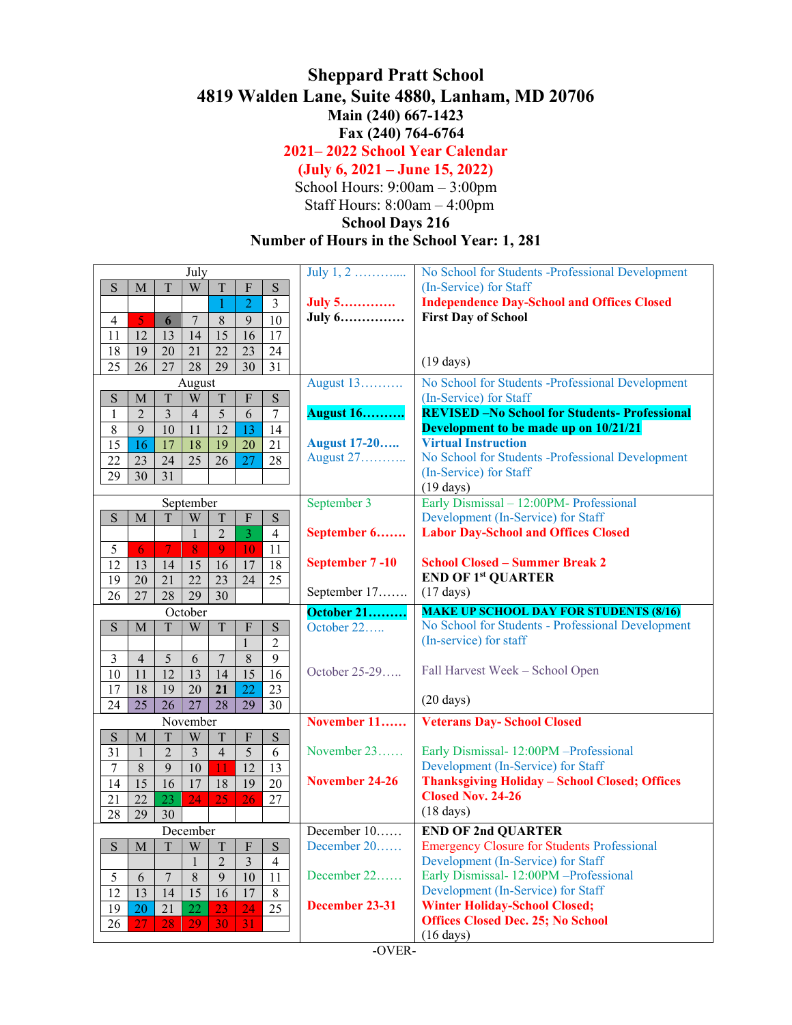## **Sheppard Pratt School 4819 Walden Lane, Suite 4880, Lanham, MD 20706 Main (240) 667-1423 Fax (240) 764-6764**

**2021– 2022 School Year Calendar** 

## **(July 6, 2021 – June 15, 2022)**

School Hours: 9:00am – 3:00pm Staff Hours: 8:00am – 4:00pm

## **School Days 216**

**Number of Hours in the School Year: 1, 281**

| July                                                                                            | July $1, 2, \ldots, \ldots$ | No School for Students -Professional Development      |
|-------------------------------------------------------------------------------------------------|-----------------------------|-------------------------------------------------------|
| T<br>$\ensuremath{\text{W}}$<br>S<br>$\mathbf T$<br>F<br>S<br>M                                 |                             | (In-Service) for Staff                                |
| $\overline{2}$<br>$\mathfrak{Z}$<br>1                                                           | <b>July 5</b>               | <b>Independence Day-School and Offices Closed</b>     |
| $\overline{7}$<br>10<br>$\overline{\mathbf{5}}$<br>$\,8\,$<br>9<br>$\overline{4}$<br>6          | July 6                      | <b>First Day of School</b>                            |
| 15<br>16<br>11<br>12<br>13<br>14<br>17                                                          |                             |                                                       |
| 19<br>22<br>23<br>$24\,$<br>18<br>20<br>21                                                      |                             |                                                       |
| $\overline{31}$<br>26<br>27<br>28<br>29<br>30<br>25                                             |                             | $(19 \text{ days})$                                   |
| August                                                                                          | August 13                   | No School for Students -Professional Development      |
| $\mathbf T$<br>$\mathbf S$<br>T<br>$\boldsymbol{\mathrm{F}}$<br>S<br>M<br>W                     |                             | (In-Service) for Staff                                |
| $\overline{2}$<br>$\overline{3}$<br>5<br>6<br>$\overline{4}$<br>$\tau$<br>1                     | <b>August 16</b>            | <b>REVISED - No School for Students- Professional</b> |
| 9<br>13<br>8<br>10<br>12<br>14<br>11                                                            |                             | Development to be made up on 10/21/21                 |
| 16<br>17<br>18<br>19<br>20<br>21<br>15                                                          | <b>August 17-20</b>         | <b>Virtual Instruction</b>                            |
| $\overline{27}$<br>26<br>28<br>23<br>24<br>25<br>22                                             | August 27                   | No School for Students -Professional Development      |
| 30<br>31<br>29                                                                                  |                             | (In-Service) for Staff                                |
|                                                                                                 |                             | $(19 \text{ days})$                                   |
| September                                                                                       | September 3                 | Early Dismissal - 12:00PM- Professional               |
| S<br>$\rm T$<br>W<br>$\mathbf T$<br>${\bf S}$<br>$\mathbf{M}$<br>$\mathbf{F}$                   |                             | Development (In-Service) for Staff                    |
| $\mathbf{1}$<br>$\overline{3}$<br>$\overline{2}$<br>$\overline{4}$                              | September 6                 | <b>Labor Day-School and Offices Closed</b>            |
| $\overline{\tau}$<br>$\overline{9}$<br>11<br>5<br>10<br>8<br>-6                                 |                             |                                                       |
| 12<br>18<br>13<br>14<br>17<br>15<br>16                                                          | September 7-10              | <b>School Closed - Summer Break 2</b>                 |
| $\overline{24}$<br>20<br>21<br>22<br>23<br>25<br>19                                             |                             | <b>END OF 1st QUARTER</b>                             |
| 30<br>26<br>27<br>28<br>29                                                                      | September 17                | $(17 \text{ days})$                                   |
|                                                                                                 |                             |                                                       |
| October                                                                                         | <b>October 21</b>           | <b>MAKE UP SCHOOL DAY FOR STUDENTS (8/16)</b>         |
| S<br>$\rm T$<br>$\mathbf F$<br>S<br>$\mathbf M$<br>$\ensuremath{\text{W}}$<br>$\mathbf T$       | October 22                  | No School for Students - Professional Development     |
| $\mathbf{1}$<br>$\overline{c}$                                                                  |                             | (In-service) for staff                                |
| 9<br>$\mathfrak{Z}$<br>5<br>8<br>$\overline{4}$<br>7<br>6                                       |                             |                                                       |
| 11<br>12<br>15<br>16<br>10<br>14<br>13                                                          | October 25-29               | Fall Harvest Week - School Open                       |
| $\overline{22}$<br>18<br>23<br>17<br>19<br>21<br>20                                             |                             |                                                       |
| 25<br>30<br>24<br>26<br>27<br>28<br>29                                                          |                             | $(20 \text{ days})$                                   |
| November                                                                                        | November 11                 | <b>Veterans Day-School Closed</b>                     |
| S<br>$\mathbf T$<br>$\mathbf T$<br>$\boldsymbol{\mathrm{F}}$<br>${\bf S}$<br>W<br>$\mathbf{M}$  |                             |                                                       |
| $\overline{5}$<br>$\overline{2}$<br>$\overline{3}$<br>6<br>31<br>$\overline{4}$<br>$\mathbf{1}$ | November 23                 | Early Dismissal- 12:00PM -Professional                |
| 12<br>$\overline{7}$<br>$\,8\,$<br>9<br>10<br>11<br>13                                          |                             | Development (In-Service) for Staff                    |
| 15<br>16<br>19<br>17<br>18<br>20<br>14                                                          | November 24-26              | <b>Thanksgiving Holiday - School Closed; Offices</b>  |
| $\overline{22}$<br>$\overline{25}$<br>26<br>23<br>24<br>21<br>27                                |                             | <b>Closed Nov. 24-26</b>                              |
| 29<br>28<br>30                                                                                  |                             | $(18 \text{ days})$                                   |
| December                                                                                        | December 10                 | <b>END OF 2nd QUARTER</b>                             |
| S<br>M<br>W<br>Τ<br>F<br>S<br>T                                                                 | December 20                 | <b>Emergency Closure for Students Professional</b>    |
| $\overline{3}$<br>$\mathbf{1}$<br>$\overline{2}$<br>$\overline{4}$                              |                             | Development (In-Service) for Staff                    |
| $\overline{8}$<br>9<br>10<br>$\boldsymbol{7}$<br>11<br>6                                        | December 22                 | Early Dismissal- 12:00PM -Professional                |
| $\mathfrak s$<br>$\overline{12}$<br>$\overline{13}$<br>14<br>17<br>16                           |                             | Development (In-Service) for Staff                    |
| $\overline{15}$<br>$8\,$<br>23                                                                  | December 23-31              | <b>Winter Holiday-School Closed;</b>                  |
| $\overline{25}$<br>19<br>22<br>24<br>20<br>21<br>26<br>29<br>31<br>27<br>28<br>30               |                             | <b>Offices Closed Dec. 25; No School</b>              |